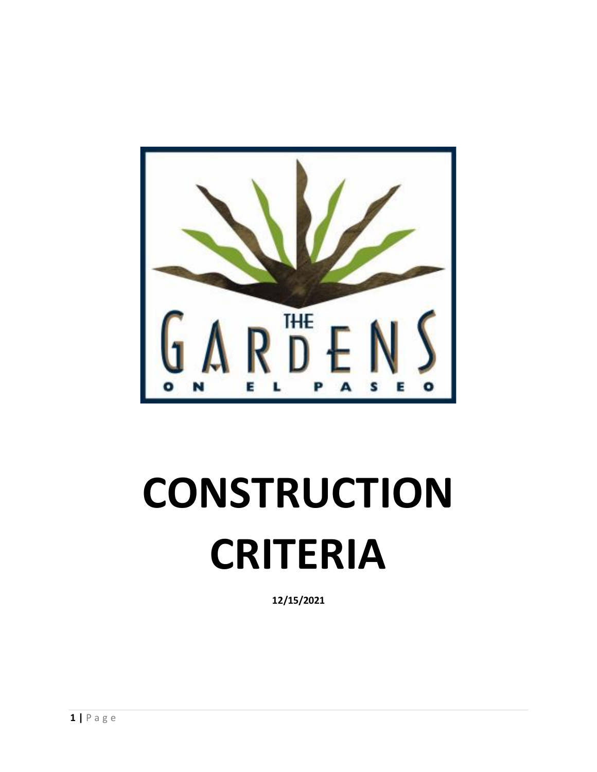

# **CONSTRUCTION CRITERIA**

**12/15/2021**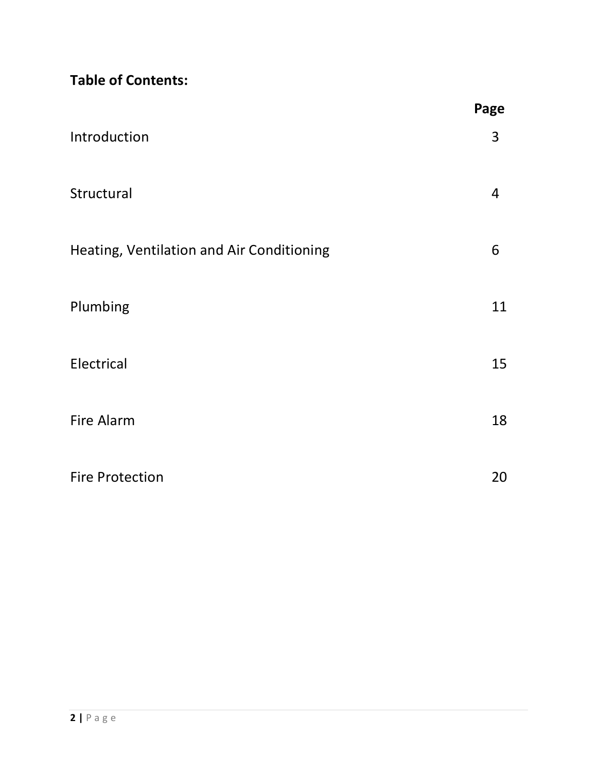**Table of Contents:** 

|                                           | Page |
|-------------------------------------------|------|
| Introduction                              | 3    |
| Structural                                | 4    |
| Heating, Ventilation and Air Conditioning | 6    |
| Plumbing                                  | 11   |
| Electrical                                | 15   |
| Fire Alarm                                | 18   |
| <b>Fire Protection</b>                    | 20   |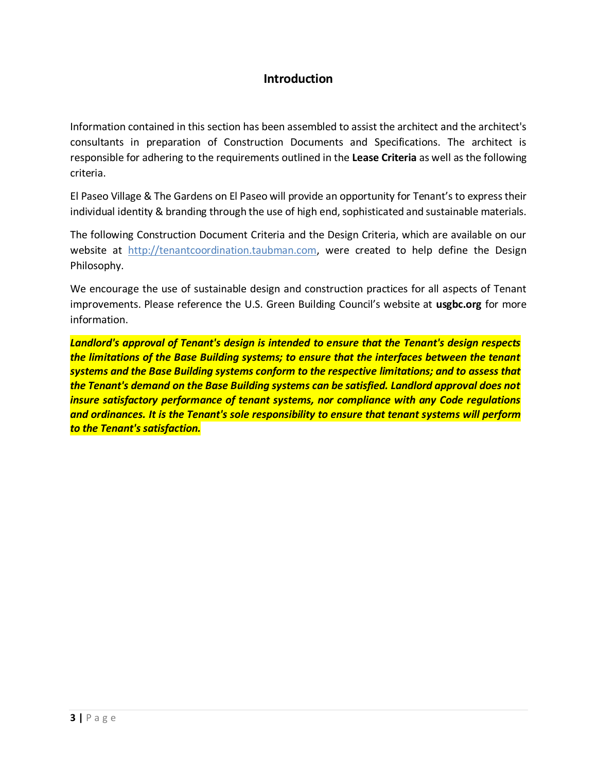# **Introduction**

Information contained in this section has been assembled to assist the architect and the architect's consultants in preparation of Construction Documents and Specifications. The architect is responsible for adhering to the requirements outlined in the **Lease Criteria** as well as the following criteria.

El Paseo Village & The Gardens on El Paseo will provide an opportunity for Tenant's to express their individual identity & branding through the use of high end, sophisticated and sustainable materials.

The following Construction Document Criteria and the Design Criteria, which are available on our website at [http://tenantcoordination.taubman.com,](http://tenantcoordination.taubman.com/) were created to help define the Design Philosophy.

We encourage the use of sustainable design and construction practices for all aspects of Tenant improvements. Please reference the U.S. Green Building Council's website at **usgbc.org** for more information.

*Landlord's approval of Tenant's design is intended to ensure that the Tenant's design respects the limitations of the Base Building systems; to ensure that the interfaces between the tenant systems and the Base Building systems conform to the respective limitations; and to assess that the Tenant's demand on the Base Building systems can be satisfied. Landlord approval does not insure satisfactory performance of tenant systems, nor compliance with any Code regulations and ordinances. It is the Tenant's sole responsibility to ensure that tenant systems will perform to the Tenant's satisfaction.*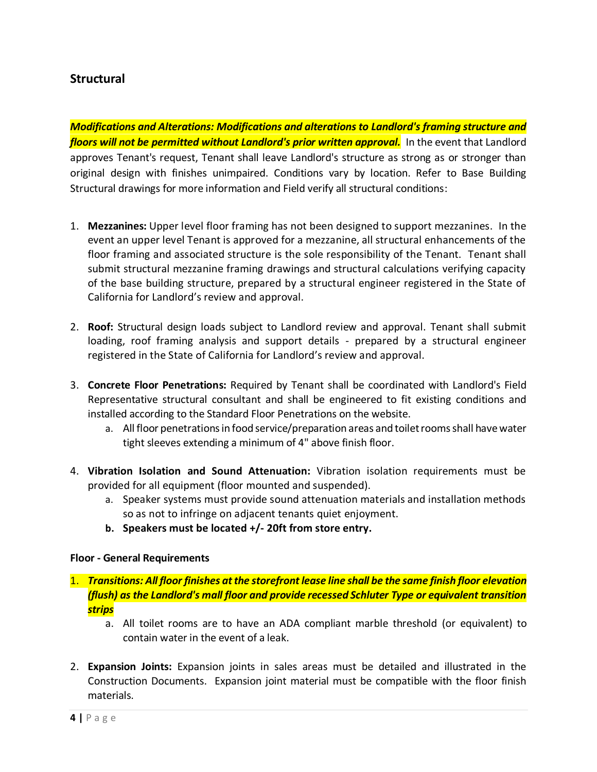# **Structural**

*Modifications and Alterations: Modifications and alterations to Landlord's framing structure and floors will not be permitted without Landlord's prior written approval.* In the event that Landlord approves Tenant's request, Tenant shall leave Landlord's structure as strong as or stronger than original design with finishes unimpaired. Conditions vary by location. Refer to Base Building Structural drawings for more information and Field verify all structural conditions:

- 1. **Mezzanines:** Upper level floor framing has not been designed to support mezzanines. In the event an upper level Tenant is approved for a mezzanine, all structural enhancements of the floor framing and associated structure is the sole responsibility of the Tenant. Tenant shall submit structural mezzanine framing drawings and structural calculations verifying capacity of the base building structure, prepared by a structural engineer registered in the State of California for Landlord's review and approval.
- 2. **Roof:** Structural design loads subject to Landlord review and approval. Tenant shall submit loading, roof framing analysis and support details - prepared by a structural engineer registered in the State of California for Landlord's review and approval.
- 3. **Concrete Floor Penetrations:** Required by Tenant shall be coordinated with Landlord's Field Representative structural consultant and shall be engineered to fit existing conditions and installed according to the Standard Floor Penetrations on the website.
	- a. All floor penetrations in food service/preparation areas and toilet rooms shall have water tight sleeves extending a minimum of 4" above finish floor.
- 4. **Vibration Isolation and Sound Attenuation:** Vibration isolation requirements must be provided for all equipment (floor mounted and suspended).
	- a. Speaker systems must provide sound attenuation materials and installation methods so as not to infringe on adjacent tenants quiet enjoyment.
	- **b. Speakers must be located +/- 20ft from store entry.**

#### **Floor - General Requirements**

## 1. *Transitions: All floor finishes at the storefront lease line shall be the same finish floor elevation (flush) as the Landlord's mall floor and provide recessed Schluter Type or equivalent transition strips*

- a. All toilet rooms are to have an ADA compliant marble threshold (or equivalent) to contain water in the event of a leak.
- 2. **Expansion Joints:** Expansion joints in sales areas must be detailed and illustrated in the Construction Documents. Expansion joint material must be compatible with the floor finish materials.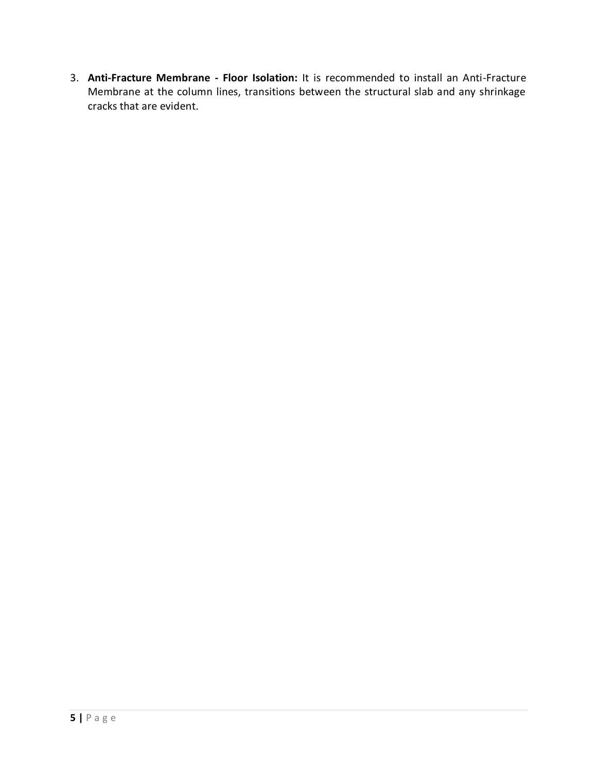3. **Anti-Fracture Membrane - Floor Isolation:** It is recommended to install an Anti-Fracture Membrane at the column lines, transitions between the structural slab and any shrinkage cracks that are evident.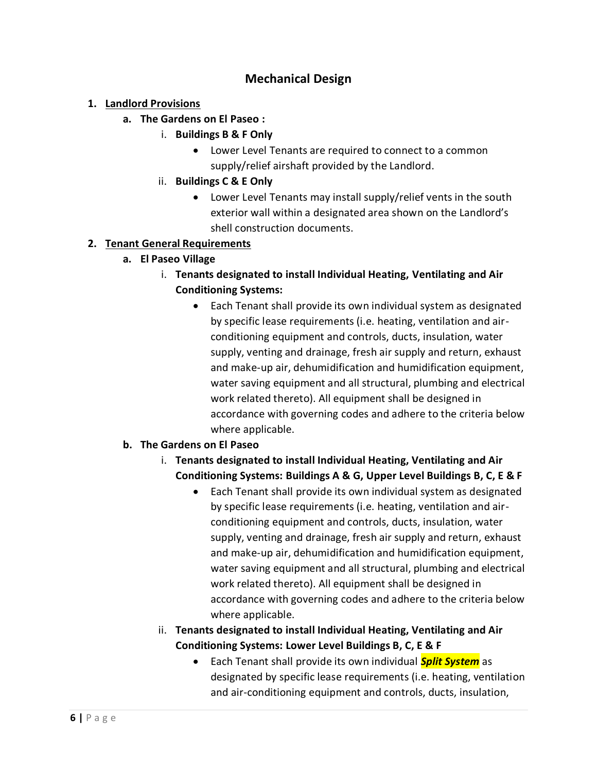# **Mechanical Design**

## **1. Landlord Provisions**

- **a. The Gardens on El Paseo :** 
	- i. **Buildings B & F Only**
		- Lower Level Tenants are required to connect to a common supply/relief airshaft provided by the Landlord.
	- ii. **Buildings C & E Only**
		- Lower Level Tenants may install supply/relief vents in the south exterior wall within a designated area shown on the Landlord's shell construction documents.

## **2. Tenant General Requirements**

- **a. El Paseo Village**
	- i. **Tenants designated to install Individual Heating, Ventilating and Air Conditioning Systems:**
		- Each Tenant shall provide its own individual system as designated by specific lease requirements (i.e. heating, ventilation and airconditioning equipment and controls, ducts, insulation, water supply, venting and drainage, fresh air supply and return, exhaust and make-up air, dehumidification and humidification equipment, water saving equipment and all structural, plumbing and electrical work related thereto). All equipment shall be designed in accordance with governing codes and adhere to the criteria below where applicable.

## **b. The Gardens on El Paseo**

- i. **Tenants designated to install Individual Heating, Ventilating and Air Conditioning Systems: Buildings A & G, Upper Level Buildings B, C, E & F**
	- Each Tenant shall provide its own individual system as designated by specific lease requirements (i.e. heating, ventilation and airconditioning equipment and controls, ducts, insulation, water supply, venting and drainage, fresh air supply and return, exhaust and make-up air, dehumidification and humidification equipment, water saving equipment and all structural, plumbing and electrical work related thereto). All equipment shall be designed in accordance with governing codes and adhere to the criteria below where applicable.
- ii. **Tenants designated to install Individual Heating, Ventilating and Air Conditioning Systems: Lower Level Buildings B, C, E & F**
	- Each Tenant shall provide its own individual *Split System* as designated by specific lease requirements (i.e. heating, ventilation and air-conditioning equipment and controls, ducts, insulation,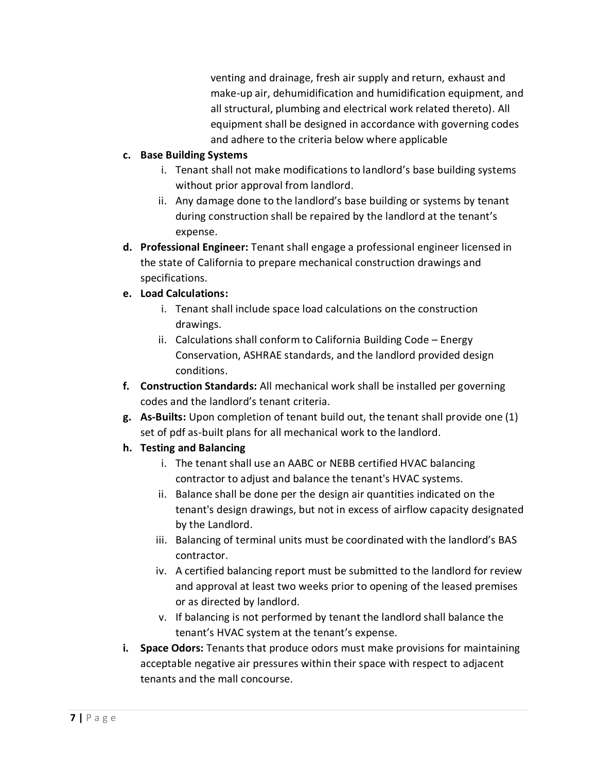venting and drainage, fresh air supply and return, exhaust and make-up air, dehumidification and humidification equipment, and all structural, plumbing and electrical work related thereto). All equipment shall be designed in accordance with governing codes and adhere to the criteria below where applicable

## **c. Base Building Systems**

- i. Tenant shall not make modifications to landlord's base building systems without prior approval from landlord.
- ii. Any damage done to the landlord's base building or systems by tenant during construction shall be repaired by the landlord at the tenant's expense.
- **d. Professional Engineer:** Tenant shall engage a professional engineer licensed in the state of California to prepare mechanical construction drawings and specifications.

## **e. Load Calculations:**

- i. Tenant shall include space load calculations on the construction drawings.
- ii. Calculations shall conform to California Building Code Energy Conservation, ASHRAE standards, and the landlord provided design conditions.
- **f. Construction Standards:** All mechanical work shall be installed per governing codes and the landlord's tenant criteria.
- **g. As-Builts:** Upon completion of tenant build out, the tenant shall provide one (1) set of pdf as-built plans for all mechanical work to the landlord.
- **h. Testing and Balancing**
	- i. The tenant shall use an AABC or NEBB certified HVAC balancing contractor to adjust and balance the tenant's HVAC systems.
	- ii. Balance shall be done per the design air quantities indicated on the tenant's design drawings, but not in excess of airflow capacity designated by the Landlord.
	- iii. Balancing of terminal units must be coordinated with the landlord's BAS contractor.
	- iv. A certified balancing report must be submitted to the landlord for review and approval at least two weeks prior to opening of the leased premises or as directed by landlord.
	- v. If balancing is not performed by tenant the landlord shall balance the tenant's HVAC system at the tenant's expense.
- **i. Space Odors:** Tenants that produce odors must make provisions for maintaining acceptable negative air pressures within their space with respect to adjacent tenants and the mall concourse.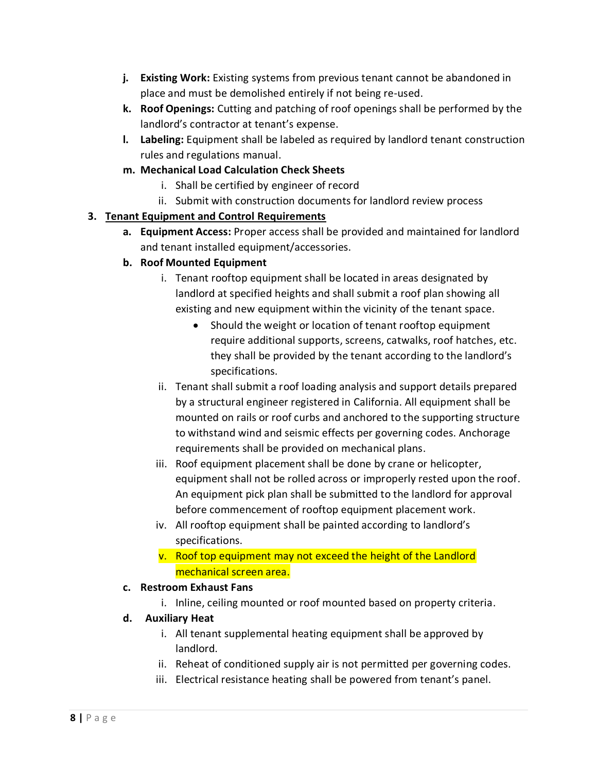- **j. Existing Work:** Existing systems from previous tenant cannot be abandoned in place and must be demolished entirely if not being re-used.
- **k. Roof Openings:** Cutting and patching of roof openings shall be performed by the landlord's contractor at tenant's expense.
- **l. Labeling:** Equipment shall be labeled as required by landlord tenant construction rules and regulations manual.
- **m. Mechanical Load Calculation Check Sheets**
	- i. Shall be certified by engineer of record
	- ii. Submit with construction documents for landlord review process

## **3. Tenant Equipment and Control Requirements**

**a. Equipment Access:** Proper access shall be provided and maintained for landlord and tenant installed equipment/accessories.

## **b. Roof Mounted Equipment**

- i. Tenant rooftop equipment shall be located in areas designated by landlord at specified heights and shall submit a roof plan showing all existing and new equipment within the vicinity of the tenant space.
	- Should the weight or location of tenant rooftop equipment require additional supports, screens, catwalks, roof hatches, etc. they shall be provided by the tenant according to the landlord's specifications.
- ii. Tenant shall submit a roof loading analysis and support details prepared by a structural engineer registered in California. All equipment shall be mounted on rails or roof curbs and anchored to the supporting structure to withstand wind and seismic effects per governing codes. Anchorage requirements shall be provided on mechanical plans.
- iii. Roof equipment placement shall be done by crane or helicopter, equipment shall not be rolled across or improperly rested upon the roof. An equipment pick plan shall be submitted to the landlord for approval before commencement of rooftop equipment placement work.
- iv. All rooftop equipment shall be painted according to landlord's specifications.
- v. Roof top equipment may not exceed the height of the Landlord mechanical screen area.

## **c. Restroom Exhaust Fans**

i. Inline, ceiling mounted or roof mounted based on property criteria.

## **d. Auxiliary Heat**

- i. All tenant supplemental heating equipment shall be approved by landlord.
- ii. Reheat of conditioned supply air is not permitted per governing codes.
- iii. Electrical resistance heating shall be powered from tenant's panel.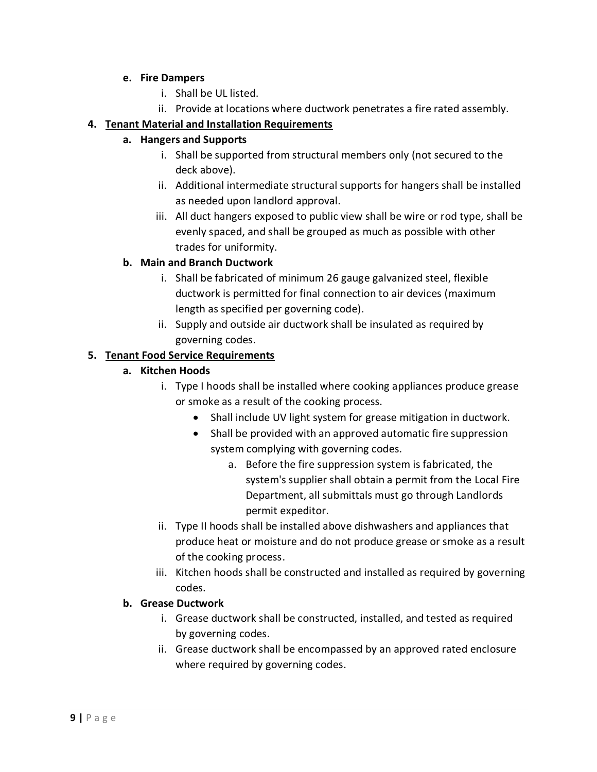#### **e. Fire Dampers**

- i. Shall be UL listed.
- ii. Provide at locations where ductwork penetrates a fire rated assembly.

## **4. Tenant Material and Installation Requirements**

## **a. Hangers and Supports**

- i. Shall be supported from structural members only (not secured to the deck above).
- ii. Additional intermediate structural supports for hangers shall be installed as needed upon landlord approval.
- iii. All duct hangers exposed to public view shall be wire or rod type, shall be evenly spaced, and shall be grouped as much as possible with other trades for uniformity.

## **b. Main and Branch Ductwork**

- i. Shall be fabricated of minimum 26 gauge galvanized steel, flexible ductwork is permitted for final connection to air devices (maximum length as specified per governing code).
- ii. Supply and outside air ductwork shall be insulated as required by governing codes.

## **5. Tenant Food Service Requirements**

## **a. Kitchen Hoods**

- i. Type I hoods shall be installed where cooking appliances produce grease or smoke as a result of the cooking process.
	- Shall include UV light system for grease mitigation in ductwork.
	- Shall be provided with an approved automatic fire suppression system complying with governing codes.
		- a. Before the fire suppression system is fabricated, the system's supplier shall obtain a permit from the Local Fire Department, all submittals must go through Landlords permit expeditor.
- ii. Type II hoods shall be installed above dishwashers and appliances that produce heat or moisture and do not produce grease or smoke as a result of the cooking process.
- iii. Kitchen hoods shall be constructed and installed as required by governing codes.

## **b. Grease Ductwork**

- i. Grease ductwork shall be constructed, installed, and tested as required by governing codes.
- ii. Grease ductwork shall be encompassed by an approved rated enclosure where required by governing codes.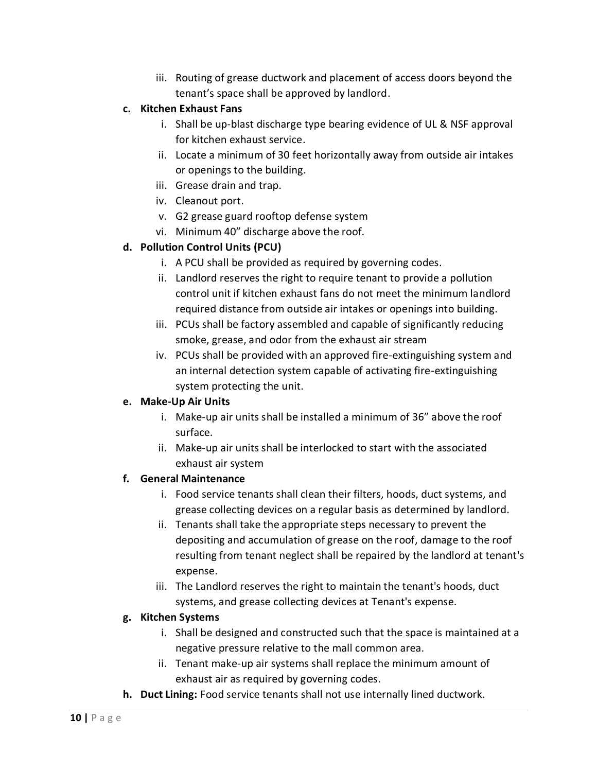iii. Routing of grease ductwork and placement of access doors beyond the tenant's space shall be approved by landlord.

## **c. Kitchen Exhaust Fans**

- i. Shall be up-blast discharge type bearing evidence of UL & NSF approval for kitchen exhaust service.
- ii. Locate a minimum of 30 feet horizontally away from outside air intakes or openings to the building.
- iii. Grease drain and trap.
- iv. Cleanout port.
- v. G2 grease guard rooftop defense system
- vi. Minimum 40" discharge above the roof.

## **d. Pollution Control Units (PCU)**

- i. A PCU shall be provided as required by governing codes.
- ii. Landlord reserves the right to require tenant to provide a pollution control unit if kitchen exhaust fans do not meet the minimum landlord required distance from outside air intakes or openings into building.
- iii. PCUs shall be factory assembled and capable of significantly reducing smoke, grease, and odor from the exhaust air stream
- iv. PCUs shall be provided with an approved fire-extinguishing system and an internal detection system capable of activating fire-extinguishing system protecting the unit.

## **e. Make-Up Air Units**

- i. Make-up air units shall be installed a minimum of 36" above the roof surface.
- ii. Make-up air units shall be interlocked to start with the associated exhaust air system

## **f. General Maintenance**

- i. Food service tenants shall clean their filters, hoods, duct systems, and grease collecting devices on a regular basis as determined by landlord.
- ii. Tenants shall take the appropriate steps necessary to prevent the depositing and accumulation of grease on the roof, damage to the roof resulting from tenant neglect shall be repaired by the landlord at tenant's expense.
- iii. The Landlord reserves the right to maintain the tenant's hoods, duct systems, and grease collecting devices at Tenant's expense.

## **g. Kitchen Systems**

- i. Shall be designed and constructed such that the space is maintained at a negative pressure relative to the mall common area.
- ii. Tenant make-up air systems shall replace the minimum amount of exhaust air as required by governing codes.
- **h. Duct Lining:** Food service tenants shall not use internally lined ductwork.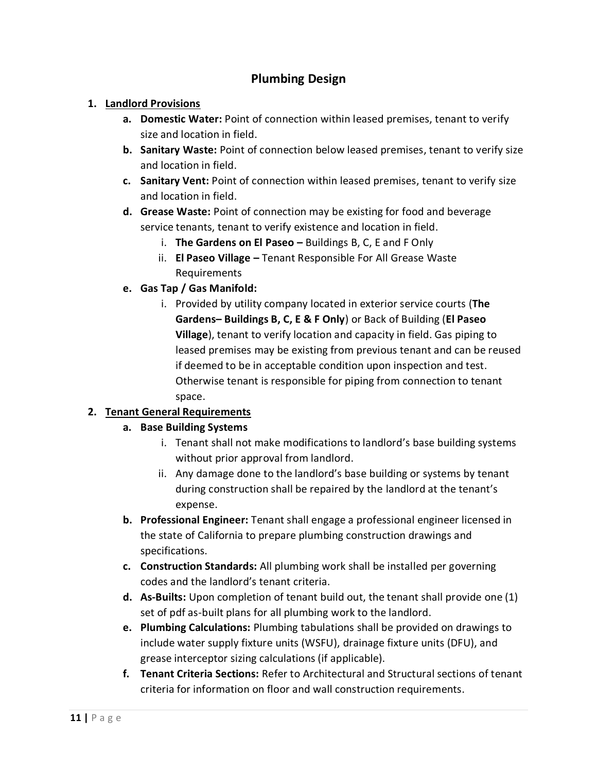# **Plumbing Design**

## **1. Landlord Provisions**

- **a. Domestic Water:** Point of connection within leased premises, tenant to verify size and location in field.
- **b. Sanitary Waste:** Point of connection below leased premises, tenant to verify size and location in field.
- **c. Sanitary Vent:** Point of connection within leased premises, tenant to verify size and location in field.
- **d. Grease Waste:** Point of connection may be existing for food and beverage service tenants, tenant to verify existence and location in field.
	- i. **The Gardens on El Paseo –** Buildings B, C, E and F Only
	- ii. **El Paseo Village –** Tenant Responsible For All Grease Waste Requirements
- **e. Gas Tap / Gas Manifold:**
	- i. Provided by utility company located in exterior service courts (**The Gardens– Buildings B, C, E & F Only**) or Back of Building (**El Paseo Village**), tenant to verify location and capacity in field. Gas piping to leased premises may be existing from previous tenant and can be reused if deemed to be in acceptable condition upon inspection and test. Otherwise tenant is responsible for piping from connection to tenant space.

## **2. Tenant General Requirements**

## **a. Base Building Systems**

- i. Tenant shall not make modifications to landlord's base building systems without prior approval from landlord.
- ii. Any damage done to the landlord's base building or systems by tenant during construction shall be repaired by the landlord at the tenant's expense.
- **b. Professional Engineer:** Tenant shall engage a professional engineer licensed in the state of California to prepare plumbing construction drawings and specifications.
- **c. Construction Standards:** All plumbing work shall be installed per governing codes and the landlord's tenant criteria.
- **d. As-Builts:** Upon completion of tenant build out, the tenant shall provide one (1) set of pdf as-built plans for all plumbing work to the landlord.
- **e. Plumbing Calculations:** Plumbing tabulations shall be provided on drawings to include water supply fixture units (WSFU), drainage fixture units (DFU), and grease interceptor sizing calculations (if applicable).
- **f. Tenant Criteria Sections:** Refer to Architectural and Structural sections of tenant criteria for information on floor and wall construction requirements.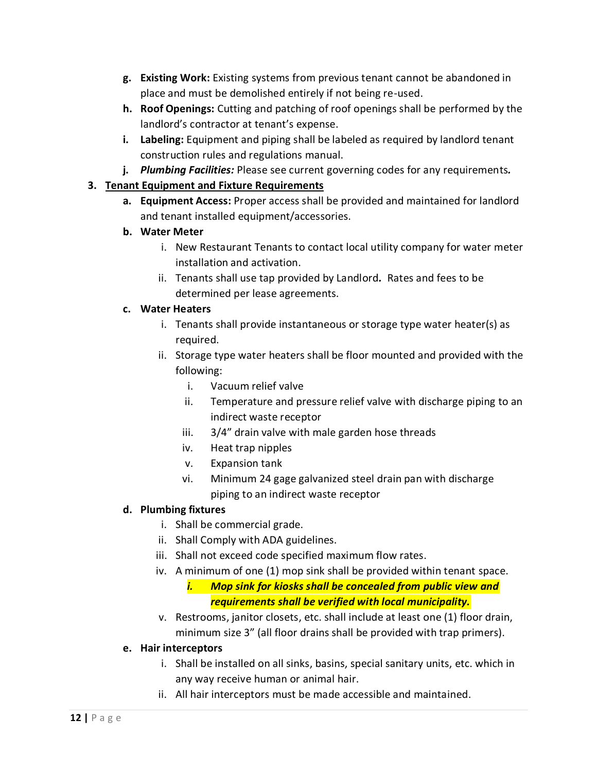- **g. Existing Work:** Existing systems from previous tenant cannot be abandoned in place and must be demolished entirely if not being re-used.
- **h. Roof Openings:** Cutting and patching of roof openings shall be performed by the landlord's contractor at tenant's expense.
- **i. Labeling:** Equipment and piping shall be labeled as required by landlord tenant construction rules and regulations manual.
- **j.** *Plumbing Facilities:* Please see current governing codes for any requirements*.*

## **3. Tenant Equipment and Fixture Requirements**

- **a. Equipment Access:** Proper access shall be provided and maintained for landlord and tenant installed equipment/accessories.
- **b. Water Meter**
	- i. New Restaurant Tenants to contact local utility company for water meter installation and activation.
	- ii. Tenants shall use tap provided by Landlord*.* Rates and fees to be determined per lease agreements.

## **c. Water Heaters**

- i. Tenants shall provide instantaneous or storage type water heater(s) as required.
- ii. Storage type water heaters shall be floor mounted and provided with the following:
	- i. Vacuum relief valve
	- ii. Temperature and pressure relief valve with discharge piping to an indirect waste receptor
	- iii. 3/4" drain valve with male garden hose threads
	- iv. Heat trap nipples
	- v. Expansion tank
	- vi. Minimum 24 gage galvanized steel drain pan with discharge piping to an indirect waste receptor

## **d. Plumbing fixtures**

- i. Shall be commercial grade.
- ii. Shall Comply with ADA guidelines.
- iii. Shall not exceed code specified maximum flow rates.
- iv. A minimum of one (1) mop sink shall be provided within tenant space.

# *i. Mop sink for kiosks shall be concealed from public view and requirements shall be verified with local municipality.*

v. Restrooms, janitor closets, etc. shall include at least one (1) floor drain, minimum size 3" (all floor drains shall be provided with trap primers).

## **e. Hair interceptors**

- i. Shall be installed on all sinks, basins, special sanitary units, etc. which in any way receive human or animal hair.
- ii. All hair interceptors must be made accessible and maintained.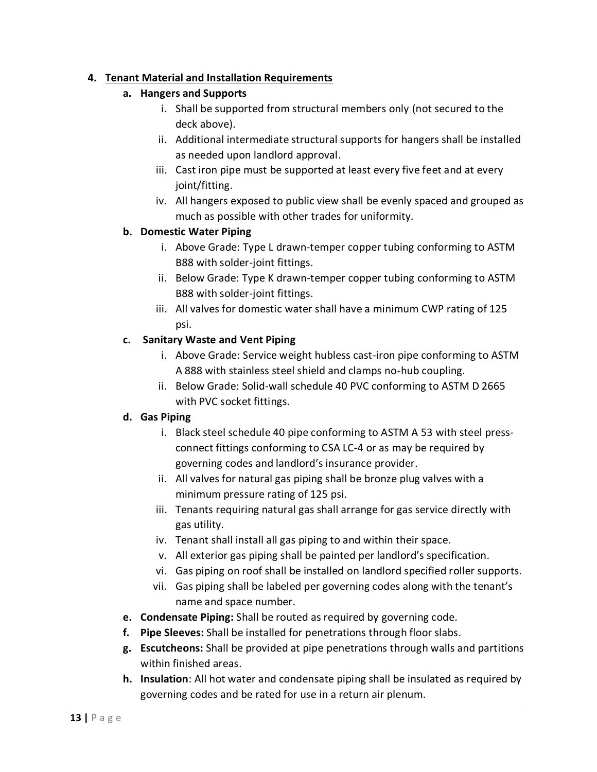## **4. Tenant Material and Installation Requirements**

## **a. Hangers and Supports**

- i. Shall be supported from structural members only (not secured to the deck above).
- ii. Additional intermediate structural supports for hangers shall be installed as needed upon landlord approval.
- iii. Cast iron pipe must be supported at least every five feet and at every joint/fitting.
- iv. All hangers exposed to public view shall be evenly spaced and grouped as much as possible with other trades for uniformity.

## **b. Domestic Water Piping**

- i. Above Grade: Type L drawn-temper copper tubing conforming to ASTM B88 with solder-joint fittings.
- ii. Below Grade: Type K drawn-temper copper tubing conforming to ASTM B88 with solder-joint fittings.
- iii. All valves for domestic water shall have a minimum CWP rating of 125 psi.

## **c. Sanitary Waste and Vent Piping**

- i. Above Grade: Service weight hubless cast-iron pipe conforming to ASTM A 888 with stainless steel shield and clamps no-hub coupling.
- ii. Below Grade: Solid-wall schedule 40 PVC conforming to ASTM D 2665 with PVC socket fittings.

## **d. Gas Piping**

- i. Black steel schedule 40 pipe conforming to ASTM A 53 with steel pressconnect fittings conforming to CSA LC-4 or as may be required by governing codes and landlord's insurance provider.
- ii. All valves for natural gas piping shall be bronze plug valves with a minimum pressure rating of 125 psi.
- iii. Tenants requiring natural gas shall arrange for gas service directly with gas utility.
- iv. Tenant shall install all gas piping to and within their space.
- v. All exterior gas piping shall be painted per landlord's specification.
- vi. Gas piping on roof shall be installed on landlord specified roller supports.
- vii. Gas piping shall be labeled per governing codes along with the tenant's name and space number.
- **e. Condensate Piping:** Shall be routed as required by governing code.
- **f. Pipe Sleeves:** Shall be installed for penetrations through floor slabs.
- **g. Escutcheons:** Shall be provided at pipe penetrations through walls and partitions within finished areas.
- **h. Insulation**: All hot water and condensate piping shall be insulated as required by governing codes and be rated for use in a return air plenum.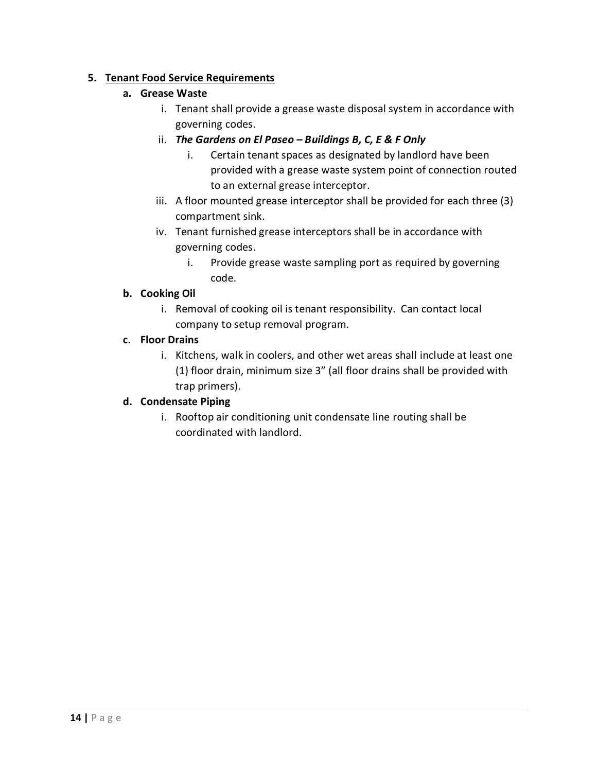## **5. Tenant Food Service Requirements**

## **a. Grease Waste**

- i. Tenant shall provide a grease waste disposal system in accordance with governing codes.
- ii. *The Gardens on El Paseo – Buildings B, C, E & F Only*
	- i. Certain tenant spaces as designated by landlord have been provided with a grease waste system point of connection routed to an external grease interceptor.
- iii. A floor mounted grease interceptor shall be provided for each three (3) compartment sink.
- iv. Tenant furnished grease interceptors shall be in accordance with governing codes.
	- i. Provide grease waste sampling port as required by governing code.

## **b. Cooking Oil**

i. Removal of cooking oil is tenant responsibility. Can contact local company to setup removal program.

## **c. Floor Drains**

i. Kitchens, walk in coolers, and other wet areas shall include at least one (1) floor drain, minimum size 3" (all floor drains shall be provided with trap primers).

## **d. Condensate Piping**

i. Rooftop air conditioning unit condensate line routing shall be coordinated with landlord.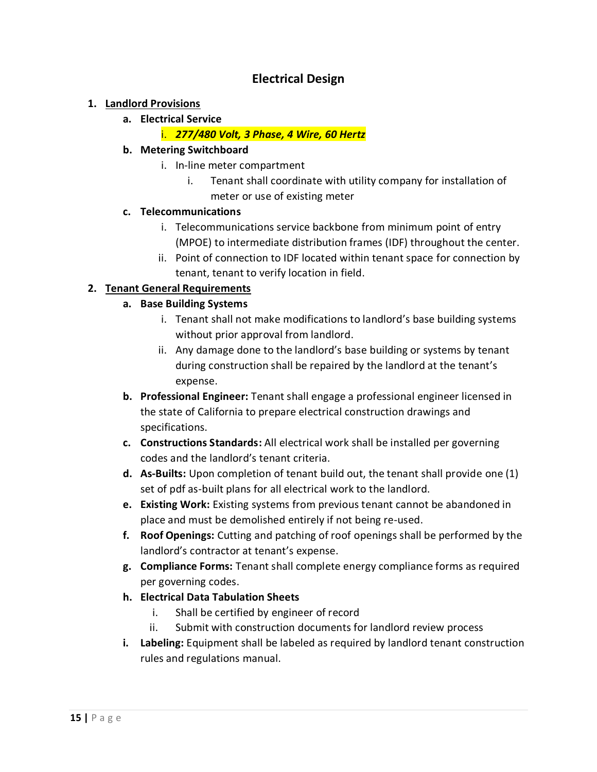# **Electrical Design**

#### **1. Landlord Provisions**

**a. Electrical Service**

#### i. *277/480 Volt, 3 Phase, 4 Wire, 60 Hertz*

#### **b. Metering Switchboard**

- i. In-line meter compartment
	- i. Tenant shall coordinate with utility company for installation of meter or use of existing meter

#### **c. Telecommunications**

- i. Telecommunications service backbone from minimum point of entry (MPOE) to intermediate distribution frames (IDF) throughout the center.
- ii. Point of connection to IDF located within tenant space for connection by tenant, tenant to verify location in field.

## **2. Tenant General Requirements**

## **a. Base Building Systems**

- i. Tenant shall not make modifications to landlord's base building systems without prior approval from landlord.
- ii. Any damage done to the landlord's base building or systems by tenant during construction shall be repaired by the landlord at the tenant's expense.
- **b. Professional Engineer:** Tenant shall engage a professional engineer licensed in the state of California to prepare electrical construction drawings and specifications.
- **c. Constructions Standards:** All electrical work shall be installed per governing codes and the landlord's tenant criteria.
- **d. As-Builts:** Upon completion of tenant build out, the tenant shall provide one (1) set of pdf as-built plans for all electrical work to the landlord.
- **e. Existing Work:** Existing systems from previous tenant cannot be abandoned in place and must be demolished entirely if not being re-used.
- **f. Roof Openings:** Cutting and patching of roof openings shall be performed by the landlord's contractor at tenant's expense.
- **g. Compliance Forms:** Tenant shall complete energy compliance forms as required per governing codes.
- **h. Electrical Data Tabulation Sheets**
	- i. Shall be certified by engineer of record
	- ii. Submit with construction documents for landlord review process
- **i. Labeling:** Equipment shall be labeled as required by landlord tenant construction rules and regulations manual.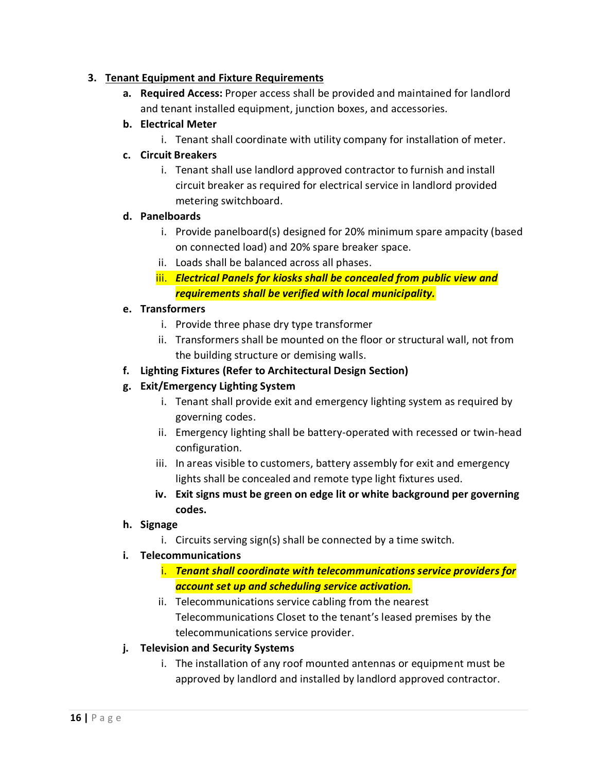## **3. Tenant Equipment and Fixture Requirements**

- **a. Required Access:** Proper access shall be provided and maintained for landlord and tenant installed equipment, junction boxes, and accessories.
- **b. Electrical Meter**
	- i. Tenant shall coordinate with utility company for installation of meter.

## **c. Circuit Breakers**

i. Tenant shall use landlord approved contractor to furnish and install circuit breaker as required for electrical service in landlord provided metering switchboard.

## **d. Panelboards**

- i. Provide panelboard(s) designed for 20% minimum spare ampacity (based on connected load) and 20% spare breaker space.
- ii. Loads shall be balanced across all phases.
- iii. *Electrical Panels for kiosks shall be concealed from public view and requirements shall be verified with local municipality.*

## **e. Transformers**

- i. Provide three phase dry type transformer
- ii. Transformers shall be mounted on the floor or structural wall, not from the building structure or demising walls.
- **f. Lighting Fixtures (Refer to Architectural Design Section)**

## **g. Exit/Emergency Lighting System**

- i. Tenant shall provide exit and emergency lighting system as required by governing codes.
- ii. Emergency lighting shall be battery-operated with recessed or twin-head configuration.
- iii. In areas visible to customers, battery assembly for exit and emergency lights shall be concealed and remote type light fixtures used.
- **iv. Exit signs must be green on edge lit or white background per governing codes.**

## **h. Signage**

i. Circuits serving sign(s) shall be connected by a time switch.

## **i. Telecommunications**

- i. *Tenant shall coordinate with telecommunications service providers for account set up and scheduling service activation.*
- ii. Telecommunications service cabling from the nearest Telecommunications Closet to the tenant's leased premises by the telecommunications service provider.

## **j. Television and Security Systems**

i. The installation of any roof mounted antennas or equipment must be approved by landlord and installed by landlord approved contractor.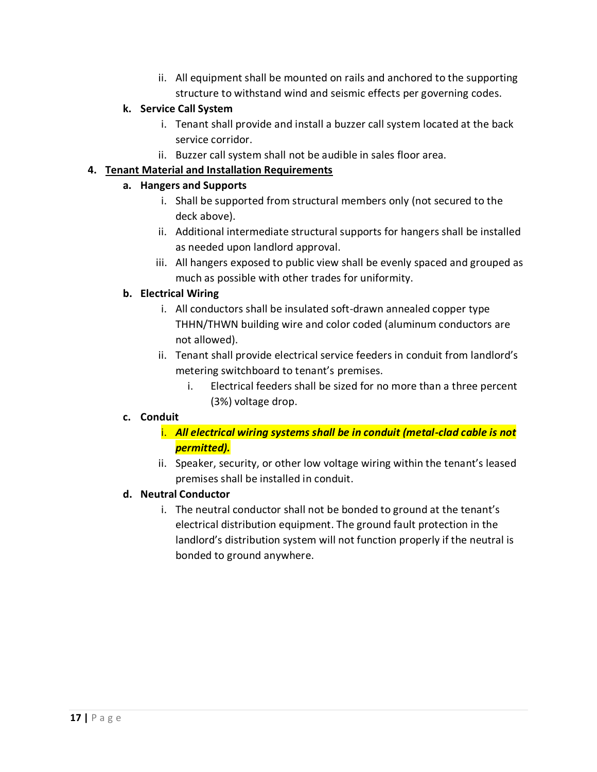ii. All equipment shall be mounted on rails and anchored to the supporting structure to withstand wind and seismic effects per governing codes.

## **k. Service Call System**

- i. Tenant shall provide and install a buzzer call system located at the back service corridor.
- ii. Buzzer call system shall not be audible in sales floor area.

## **4. Tenant Material and Installation Requirements**

## **a. Hangers and Supports**

- i. Shall be supported from structural members only (not secured to the deck above).
- ii. Additional intermediate structural supports for hangers shall be installed as needed upon landlord approval.
- iii. All hangers exposed to public view shall be evenly spaced and grouped as much as possible with other trades for uniformity.

## **b. Electrical Wiring**

- i. All conductors shall be insulated soft-drawn annealed copper type THHN/THWN building wire and color coded (aluminum conductors are not allowed).
- ii. Tenant shall provide electrical service feeders in conduit from landlord's metering switchboard to tenant's premises.
	- i. Electrical feeders shall be sized for no more than a three percent (3%) voltage drop.

## **c. Conduit**

- i. *All electrical wiring systems shall be in conduit (metal-clad cable is not permitted).*
- ii. Speaker, security, or other low voltage wiring within the tenant's leased premises shall be installed in conduit.

## **d. Neutral Conductor**

i. The neutral conductor shall not be bonded to ground at the tenant's electrical distribution equipment. The ground fault protection in the landlord's distribution system will not function properly if the neutral is bonded to ground anywhere.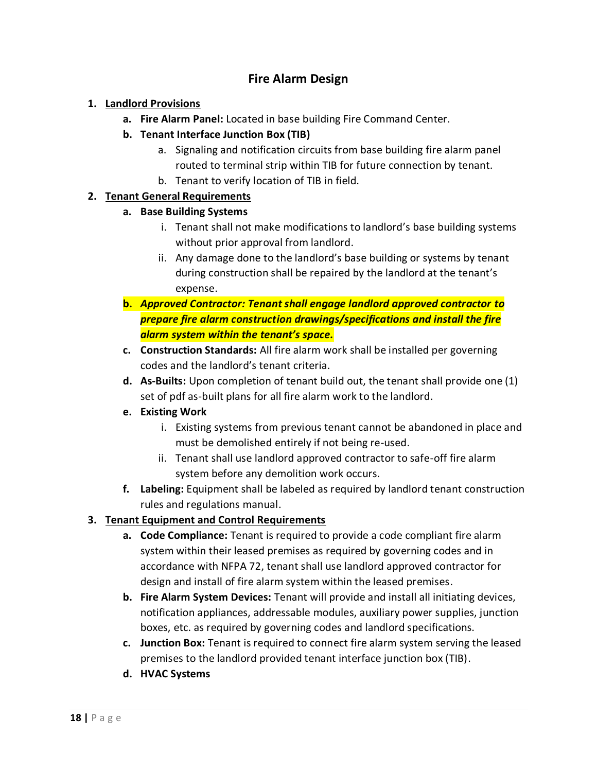# **Fire Alarm Design**

## **1. Landlord Provisions**

- **a. Fire Alarm Panel:** Located in base building Fire Command Center.
- **b. Tenant Interface Junction Box (TIB)**
	- a. Signaling and notification circuits from base building fire alarm panel routed to terminal strip within TIB for future connection by tenant.
	- b. Tenant to verify location of TIB in field.

## **2. Tenant General Requirements**

## **a. Base Building Systems**

- i. Tenant shall not make modifications to landlord's base building systems without prior approval from landlord.
- ii. Any damage done to the landlord's base building or systems by tenant during construction shall be repaired by the landlord at the tenant's expense.
- **b.** *Approved Contractor: Tenant shall engage landlord approved contractor to prepare fire alarm construction drawings/specifications and install the fire alarm system within the tenant's space.*
- **c. Construction Standards:** All fire alarm work shall be installed per governing codes and the landlord's tenant criteria.
- **d. As-Builts:** Upon completion of tenant build out, the tenant shall provide one (1) set of pdf as-built plans for all fire alarm work to the landlord.
- **e. Existing Work**
	- i. Existing systems from previous tenant cannot be abandoned in place and must be demolished entirely if not being re-used.
	- ii. Tenant shall use landlord approved contractor to safe-off fire alarm system before any demolition work occurs.
- **f. Labeling:** Equipment shall be labeled as required by landlord tenant construction rules and regulations manual.

## **3. Tenant Equipment and Control Requirements**

- **a. Code Compliance:** Tenant is required to provide a code compliant fire alarm system within their leased premises as required by governing codes and in accordance with NFPA 72, tenant shall use landlord approved contractor for design and install of fire alarm system within the leased premises.
- **b. Fire Alarm System Devices:** Tenant will provide and install all initiating devices, notification appliances, addressable modules, auxiliary power supplies, junction boxes, etc. as required by governing codes and landlord specifications.
- **c. Junction Box:** Tenant is required to connect fire alarm system serving the leased premises to the landlord provided tenant interface junction box (TIB).
- **d. HVAC Systems**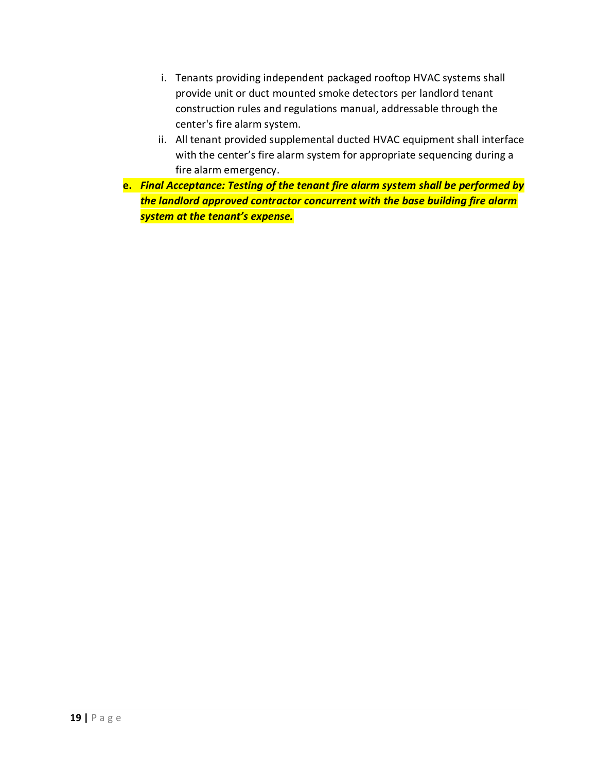- i. Tenants providing independent packaged rooftop HVAC systems shall provide unit or duct mounted smoke detectors per landlord tenant construction rules and regulations manual, addressable through the center's fire alarm system.
- ii. All tenant provided supplemental ducted HVAC equipment shall interface with the center's fire alarm system for appropriate sequencing during a fire alarm emergency.
- **e.** *Final Acceptance: Testing of the tenant fire alarm system shall be performed by the landlord approved contractor concurrent with the base building fire alarm system at the tenant's expense.*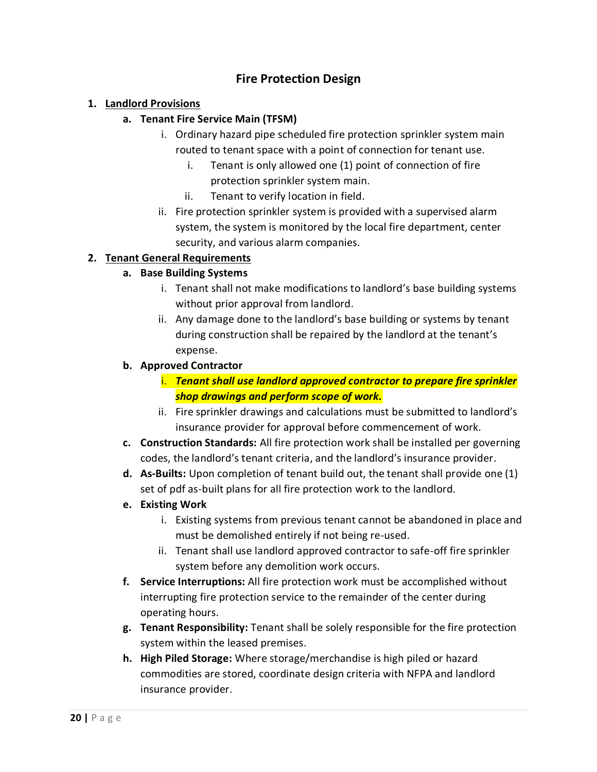# **Fire Protection Design**

## **1. Landlord Provisions**

#### **a. Tenant Fire Service Main (TFSM)**

- i. Ordinary hazard pipe scheduled fire protection sprinkler system main routed to tenant space with a point of connection for tenant use.
	- i. Tenant is only allowed one (1) point of connection of fire protection sprinkler system main.
	- ii. Tenant to verify location in field.
- ii. Fire protection sprinkler system is provided with a supervised alarm system, the system is monitored by the local fire department, center security, and various alarm companies.

## **2. Tenant General Requirements**

## **a. Base Building Systems**

- i. Tenant shall not make modifications to landlord's base building systems without prior approval from landlord.
- ii. Any damage done to the landlord's base building or systems by tenant during construction shall be repaired by the landlord at the tenant's expense.

#### **b. Approved Contractor**

- i. *Tenant shall use landlord approved contractor to prepare fire sprinkler shop drawings and perform scope of work.*
- ii. Fire sprinkler drawings and calculations must be submitted to landlord's insurance provider for approval before commencement of work.
- **c. Construction Standards:** All fire protection work shall be installed per governing codes, the landlord's tenant criteria, and the landlord's insurance provider.
- **d. As-Builts:** Upon completion of tenant build out, the tenant shall provide one (1) set of pdf as-built plans for all fire protection work to the landlord.
- **e. Existing Work**
	- i. Existing systems from previous tenant cannot be abandoned in place and must be demolished entirely if not being re-used.
	- ii. Tenant shall use landlord approved contractor to safe-off fire sprinkler system before any demolition work occurs.
- **f. Service Interruptions:** All fire protection work must be accomplished without interrupting fire protection service to the remainder of the center during operating hours.
- **g. Tenant Responsibility:** Tenant shall be solely responsible for the fire protection system within the leased premises.
- **h. High Piled Storage:** Where storage/merchandise is high piled or hazard commodities are stored, coordinate design criteria with NFPA and landlord insurance provider.